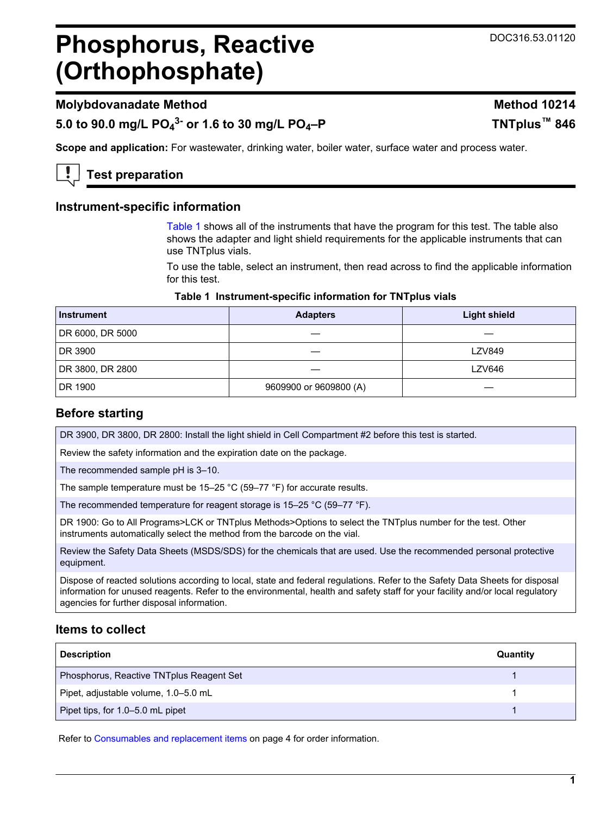# **Phosphorus, Reactive (Orthophosphate)**

# **Molybdovanadate Method Method 10214**

**5.0 to 90.0 mg/L PO<sup>4</sup> 3- or 1.6 to 30 mg/L PO4–P TNTplus™ 846**

**Scope and application:** For wastewater, drinking water, boiler water, surface water and process water.

**Test preparation**

## **Instrument-specific information**

[Table 1](#page-0-0) shows all of the instruments that have the program for this test. The table also shows the adapter and light shield requirements for the applicable instruments that can use TNTplus vials.

To use the table, select an instrument, then read across to find the applicable information for this test.

## **Table 1 Instrument-specific information for TNTplus vials**

<span id="page-0-1"></span><span id="page-0-0"></span>

| <b>Instrument</b> | <b>Adapters</b>        | <b>Light shield</b> |
|-------------------|------------------------|---------------------|
| DR 6000, DR 5000  |                        |                     |
| DR 3900           |                        | <b>LZV849</b>       |
| DR 3800, DR 2800  |                        | LZV646              |
| DR 1900           | 9609900 or 9609800 (A) |                     |

# **Before starting**

DR 3900, DR 3800, DR 2800: Install the light shield in Cell Compartment #2 before this test is started.

Review the safety information and the expiration date on the package.

The recommended sample pH is 3–10.

The sample temperature must be 15–25 °C (59–77 °F) for accurate results.

The recommended temperature for reagent storage is 15–25 °C (59–77 °F).

DR 1900: Go to All Programs>LCK or TNTplus Methods>Options to select the TNTplus number for the test. Other instruments automatically select the method from the barcode on the vial.

Review the Safety Data Sheets (MSDS/SDS) for the chemicals that are used. Use the recommended personal protective equipment.

Dispose of reacted solutions according to local, state and federal regulations. Refer to the Safety Data Sheets for disposal information for unused reagents. Refer to the environmental, health and safety staff for your facility and/or local regulatory agencies for further disposal information.

# **Items to collect**

| <b>Description</b>                       | Quantity |
|------------------------------------------|----------|
| Phosphorus, Reactive TNTplus Reagent Set |          |
| Pipet, adjustable volume, 1.0–5.0 mL     |          |
| Pipet tips, for 1.0-5.0 mL pipet         |          |

Refer to [Consumables and replacement items](#page-3-0) on page 4 for order information.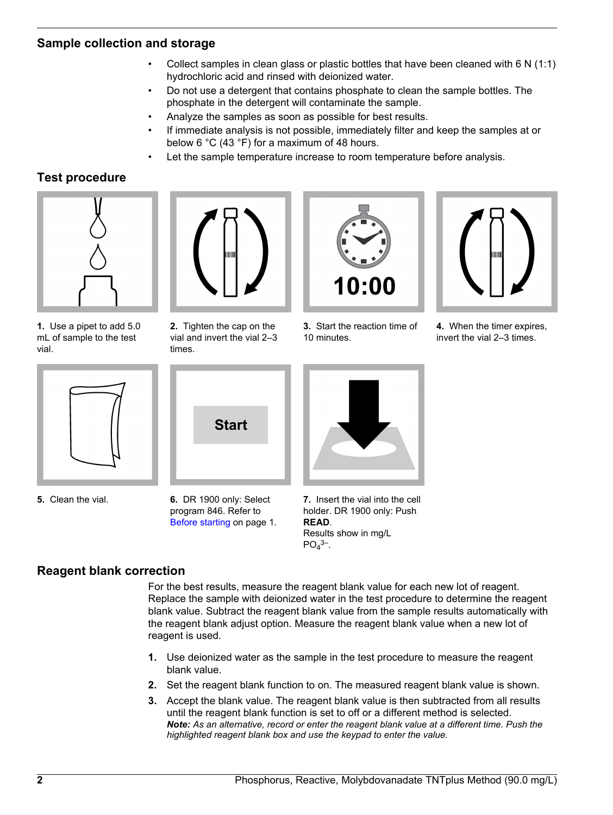## **Sample collection and storage**

- Collect samples in clean glass or plastic bottles that have been cleaned with 6 N (1:1) hydrochloric acid and rinsed with deionized water.
- Do not use a detergent that contains phosphate to clean the sample bottles. The phosphate in the detergent will contaminate the sample.
- Analyze the samples as soon as possible for best results.
- If immediate analysis is not possible, immediately filter and keep the samples at or below 6 °C (43 °F) for a maximum of 48 hours.
- Let the sample temperature increase to room temperature before analysis.

# **Test procedure**



**1.** Use a pipet to add 5.0 mL of sample to the test vial.



**2.** Tighten the cap on the vial and invert the vial 2–3 times.



**3.** Start the reaction time of 10 minutes.



**4.** When the timer expires, invert the vial 2–3 times.



**5.** Clean the vial.



**6.** DR 1900 only: Select program 846. Refer to [Before starting](#page-0-1) on page 1.



**7.** Insert the vial into the cell holder. DR 1900 only: Push **READ**. Results show in mg/L  $PO<sub>4</sub>$ <sup>3–</sup>.

# **Reagent blank correction**

For the best results, measure the reagent blank value for each new lot of reagent. Replace the sample with deionized water in the test procedure to determine the reagent blank value. Subtract the reagent blank value from the sample results automatically with the reagent blank adjust option. Measure the reagent blank value when a new lot of reagent is used.

- **1.** Use deionized water as the sample in the test procedure to measure the reagent blank value.
- **2.** Set the reagent blank function to on. The measured reagent blank value is shown.
- **3.** Accept the blank value. The reagent blank value is then subtracted from all results until the reagent blank function is set to off or a different method is selected. *Note: As an alternative, record or enter the reagent blank value at a different time. Push the highlighted reagent blank box and use the keypad to enter the value.*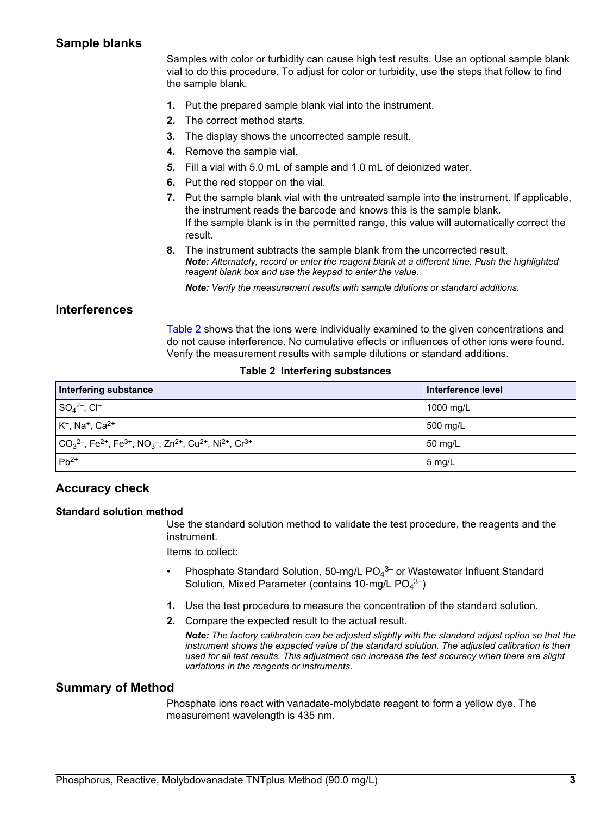## **Sample blanks**

Samples with color or turbidity can cause high test results. Use an optional sample blank vial to do this procedure. To adjust for color or turbidity, use the steps that follow to find the sample blank.

- **1.** Put the prepared sample blank vial into the instrument.
- **2.** The correct method starts.
- **3.** The display shows the uncorrected sample result.
- **4.** Remove the sample vial.
- **5.** Fill a vial with 5.0 mL of sample and 1.0 mL of deionized water.
- **6.** Put the red stopper on the vial.
- **7.** Put the sample blank vial with the untreated sample into the instrument. If applicable, the instrument reads the barcode and knows this is the sample blank. If the sample blank is in the permitted range, this value will automatically correct the result.
- **8.** The instrument subtracts the sample blank from the uncorrected result. *Note: Alternately, record or enter the reagent blank at a different time. Push the highlighted reagent blank box and use the keypad to enter the value.*

*Note: Verify the measurement results with sample dilutions or standard additions.*

#### **Interferences**

[Table 2](#page-2-0) shows that the ions were individually examined to the given concentrations and do not cause interference. No cumulative effects or influences of other ions were found. Verify the measurement results with sample dilutions or standard additions.

#### **Table 2 Interfering substances**

<span id="page-2-0"></span>

| Interfering substance                                                                                                                                                                  | Interference level |
|----------------------------------------------------------------------------------------------------------------------------------------------------------------------------------------|--------------------|
| $\mid$ SO <sub>4</sub> <sup>2-</sup> , CI <sup>-</sup>                                                                                                                                 | 1000 mg/L          |
| $K^+$ , Na <sup>+</sup> , Ca <sup>2+</sup>                                                                                                                                             | 500 mg/L           |
| $\vert$ CO <sub>3</sub> <sup>2-</sup> , Fe <sup>2+</sup> , Fe <sup>3+</sup> , NO <sub>3</sub> <sup>-</sup> , Zn <sup>2+</sup> , Cu <sup>2+</sup> , Ni <sup>2+</sup> , Cr <sup>3+</sup> | $50 \text{ mg/L}$  |
| $IPb^{2+}$                                                                                                                                                                             | $5 \text{ mg/L}$   |

## **Accuracy check**

#### **Standard solution method**

Use the standard solution method to validate the test procedure, the reagents and the instrument.

Items to collect:

- Phosphate Standard Solution, 50-mg/L PO<sub>4</sub><sup>3-</sup> or Wastewater Influent Standard Solution, Mixed Parameter (contains 10-mg/L  $PO<sub>4</sub><sup>3-</sup>$ )
- **1.** Use the test procedure to measure the concentration of the standard solution.
- **2.** Compare the expected result to the actual result.

*Note: The factory calibration can be adjusted slightly with the standard adjust option so that the instrument shows the expected value of the standard solution. The adjusted calibration is then used for all test results. This adjustment can increase the test accuracy when there are slight variations in the reagents or instruments.*

#### **Summary of Method**

Phosphate ions react with vanadate-molybdate reagent to form a yellow dye. The measurement wavelength is 435 nm.